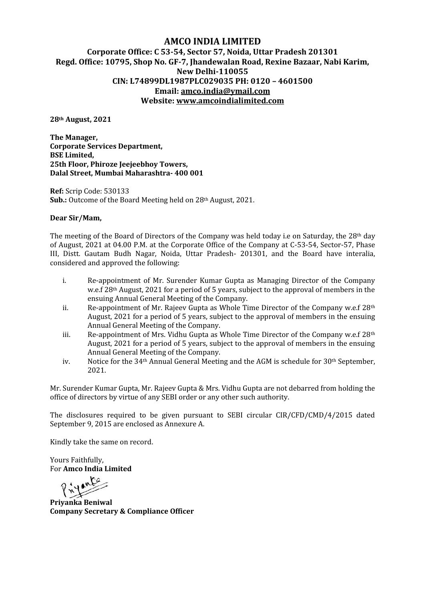## **AMCO INDIA LIMITED Corporate Office: C 53-54, Sector 57, Noida, Uttar Pradesh 201301 Regd. Office: 10795, Shop No. GF-7, Jhandewalan Road, Rexine Bazaar, Nabi Karim, New Delhi-110055 CIN: L74899DL1987PLC029035 PH: 0120 –4601500 Email: amco.india@ymail.com Website: www.amcoindialimited.com**

**28th August, 2021**

**The Manager, Corporate Services Department, BSE Limited, 25th Floor, Phiroze Jeejeebhoy Towers, Dalal Street, Mumbai Maharashtra- 400 001**

**Ref:** Scrip Code: 530133 **Sub.:** Outcome of the Board Meeting held on 28th August, 2021.

## **Dear Sir/Mam,**

The meeting of the Board of Directors of the Company was held today i.e on Saturday, the  $28<sup>th</sup>$  day of August, 2021 at 04.00 P.M. at the Corporate Office of the Company at C-53-54, Sector-57, Phase III, Distt. Gautam Budh Nagar, Noida, Uttar Pradesh- 201301, and the Board have interalia, considered and approved the following:

- i. Re-appointment of Mr. Surender Kumar Gupta as Managing Director of the Company w.e.f 28th August, 2021 for a period of 5 years, subject to the approval of members in the ensuing Annual General Meeting of the Company.
- ii. Re-appointment of Mr. Rajeev Gupta as Whole Time Director of the Company w.e.f  $28<sup>th</sup>$ August, 2021 for a period of 5 years, subject to the approval of members in the ensuing Annual General Meeting of the Company.
- iii. Re-appointment of Mrs. Vidhu Gupta as Whole Time Director of the Company w.e.f  $28<sup>th</sup>$ August, 2021 for a period of 5 years, subject to the approval of members in the ensuing Annual General Meeting of the Company.
- iv. Notice for the 34<sup>th</sup> Annual General Meeting and the AGM is schedule for 30<sup>th</sup> September, 2021.

Mr. Surender Kumar Gupta, Mr. Rajeev Gupta & Mrs. Vidhu Gupta are not debarred from holding the office of directors by virtue of any SEBI order or any other such authority.

The disclosures required to be given pursuant to SEBI circular CIR/CFD/CMD/4/2015 dated September 9, 2015 are enclosed as Annexure A.

Kindly take the same on record.

Yours Faithfully, For **Amco India Limited**

**Priyance**<br>Privanka Beniwal

**Company Secretary & Compliance Officer**